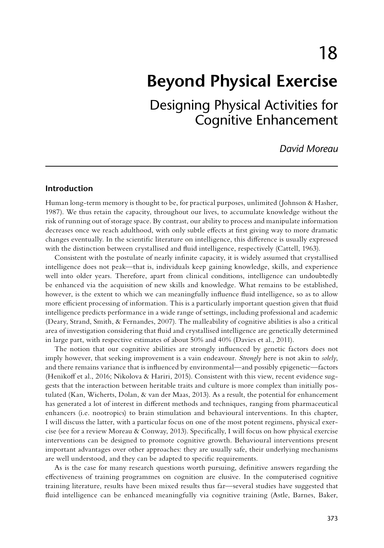18

# **Beyond Physical Exercise**

Designing Physical Activities for Cognitive Enhancement

*David Moreau*

# **Introduction**

Human long-term memory is thought to be, for practical purposes, unlimited (Johnson & Hasher, 1987). We thus retain the capacity, throughout our lives, to accumulate knowledge without the risk of running out of storage space. By contrast, our ability to process and manipulate information decreases once we reach adulthood, with only subtle efects at frst giving way to more dramatic changes eventually. In the scientifc literature on intelligence, this diference is usually expressed with the distinction between crystallised and fuid intelligence, respectively (Cattell, 1963).

Consistent with the postulate of nearly infnite capacity, it is widely assumed that crystallised intelligence does not peak—that is, individuals keep gaining knowledge, skills, and experience well into older years. Therefore, apart from clinical conditions, intelligence can undoubtedly be enhanced via the acquisition of new skills and knowledge. What remains to be established, however, is the extent to which we can meaningfully infuence fuid intelligence, so as to allow more efficient processing of information. This is a particularly important question given that fluid intelligence predicts performance in a wide range of settings, including professional and academic (Deary, Strand, Smith, & Fernandes, 2007). The malleability of cognitive abilities is also a critical area of investigation considering that fuid and crystallised intelligence are genetically determined in large part, with respective estimates of about 50% and 40% (Davies et al., 2011).

The notion that our cognitive abilities are strongly infuenced by genetic factors does not imply however, that seeking improvement is a vain endeavour. *Strongly* here is not akin to *solely*, and there remains variance that is infuenced by environmental—and possibly epigenetic—factors (Henikoff et al., 2016; Nikolova & Hariri, 2015). Consistent with this view, recent evidence suggests that the interaction between heritable traits and culture is more complex than initially postulated (Kan, Wicherts, Dolan, & van der Maas, 2013). As a result, the potential for enhancement has generated a lot of interest in diferent methods and techniques, ranging from pharmaceutical enhancers (i.e. nootropics) to brain stimulation and behavioural interventions. In this chapter, I will discuss the latter, with a particular focus on one of the most potent regimens, physical exercise (see for a review Moreau & Conway, 2013). Specifcally, I will focus on how physical exercise interventions can be designed to promote cognitive growth. Behavioural interventions present important advantages over other approaches: they are usually safe, their underlying mechanisms are well understood, and they can be adapted to specifc requirements.

As is the case for many research questions worth pursuing, defnitive answers regarding the efectiveness of training programmes on cognition are elusive. In the computerised cognitive training literature, results have been mixed results thus far—several studies have suggested that fuid intelligence can be enhanced meaningfully via cognitive training (Astle, Barnes, Baker,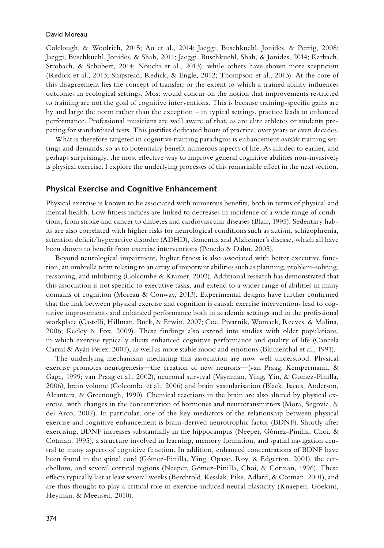Colclough, & Woolrich, 2015; Au et al., 2014; Jaeggi, Buschkuehl, Jonides, & Perrig, 2008; Jaeggi, Buschkuehl, Jonides, & Shah, 2011; Jaeggi, Buschkuehl, Shah, & Jonides, 2014; Karbach, Strobach, & Schubert, 2014; Nouchi et al., 2013), while others have shown more scepticism (Redick et al., 2013; Shipstead, Redick, & Engle, 2012; Thompson et al., 2013). At the core of this disagreement lies the concept of transfer, or the extent to which a trained ability infuences outcomes in ecological settings. Most would concur on the notion that improvements restricted to training are not the goal of cognitive interventions. This is because training-specifc gains are by and large the norm rather than the exception – in typical settings, practice leads to enhanced performance. Professional musicians are well aware of that, as are elite athletes or students preparing for standardised tests. This justifes dedicated hours of practice, over years or even decades.

What is therefore targeted in cognitive training paradigms is enhancement *outside* training settings and demands, so as to potentially beneft numerous aspects of life. As alluded to earlier, and perhaps surprisingly, the most efective way to improve general cognitive abilities non-invasively is physical exercise. I explore the underlying processes of this remarkable efect in the next section.

# **Physical Exercise and Cognitive Enhancement**

Physical exercise is known to be associated with numerous benefts, both in terms of physical and mental health. Low ftness indices are linked to decreases in incidence of a wide range of conditions, from stroke and cancer to diabetes and cardiovascular diseases (Blair, 1995). Sedentary habits are also correlated with higher risks for neurological conditions such as autism, schizophrenia, attention defcit/hyperactive disorder (ADHD), dementia and Alzheimer's disease, which all have been shown to beneft from exercise interventions (Penedo & Dahn, 2005).

Beyond neurological impairment, higher ftness is also associated with better executive function, an umbrella term relating to an array of important abilities such as planning, problem-solving, reasoning, and inhibiting (Colcombe & Kramer, 2003). Additional research has demonstrated that this association is not specifc to executive tasks, and extend to a wider range of abilities in many domains of cognition (Moreau & Conway, 2013). Experimental designs have further confrmed that the link between physical exercise and cognition is causal: exercise interventions lead to cognitive improvements and enhanced performance both in academic settings and in the professional workplace (Castelli, Hillman, Buck, & Erwin, 2007; Coe, Pivarnik, Womack, Reeves, & Malina, 2006; Keeley & Fox, 2009). These fndings also extend into studies with older populations, in which exercise typically elicits enhanced cognitive performance and quality of life (Cancela Carral & Ayán Pérez, 2007), as well as more stable mood and emotions (Blumenthal et al., 1991).

The underlying mechanisms mediating this association are now well understood. Physical exercise promotes neurogenesis—the creation of new neurons—(van Praag, Kempermann, & Gage, 1999; van Praag et al., 2002), neuronal survival (Vaynman, Ying, Yin, & Gomez-Pinilla, 2006), brain volume (Colcombe et al., 2006) and brain vascularisation (Black, Isaacs, Anderson, Alcantara, & Greenough, 1990). Chemical reactions in the brain are also altered by physical exercise, with changes in the concentration of hormones and neurotransmitters (Mora, Segovia, & del Arco, 2007). In particular, one of the key mediators of the relationship between physical exercise and cognitive enhancement is brain-derived neurotrophic factor (BDNF). Shortly after exercising, BDNF increases substantially in the hippocampus (Neeper, Gómez-Pinilla, Choi, & Cotman, 1995), a structure involved in learning, memory formation, and spatial navigation central to many aspects of cognitive function. In addition, enhanced concentrations of BDNF have been found in the spinal cord (Gómez-Pinilla, Ying, Opazo, Roy, & Edgerton, 2001), the cerebellum, and several cortical regions (Neeper, Gómez-Pinilla, Choi, & Cotman, 1996). These efects typically last at least several weeks (Berchtold, Kesslak, Pike, Adlard, & Cotman, 2001), and are thus thought to play a critical role in exercise-induced neural plasticity (Knaepen, Goekint, Heyman, & Meeusen, 2010).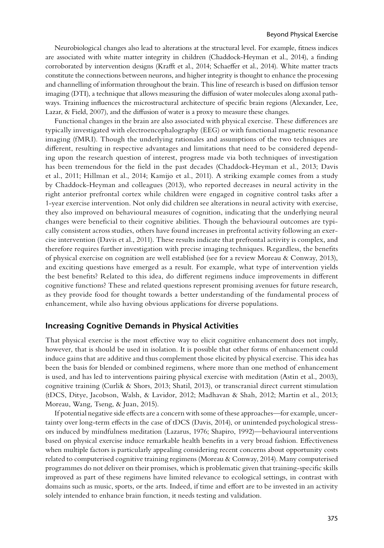Neurobiological changes also lead to alterations at the structural level. For example, ftness indices are associated with white matter integrity in children (Chaddock-Heyman et al., 2014), a fnding corroborated by intervention designs (Kraft et al., 2014; Schaefer et al., 2014). White matter tracts constitute the connections between neurons, and higher integrity is thought to enhance the processing and channelling of information throughout the brain. This line of research is based on difusion tensor imaging (DTI), a technique that allows measuring the difusion of water molecules along axonal pathways. Training infuences the microstructural architecture of specifc brain regions (Alexander, Lee, Lazar, & Field, 2007), and the difusion of water is a proxy to measure these changes.

Functional changes in the brain are also associated with physical exercise. These diferences are typically investigated with electroencephalography (EEG) or with functional magnetic resonance imaging (fMRI). Though the underlying rationales and assumptions of the two techniques are diferent, resulting in respective advantages and limitations that need to be considered depending upon the research question of interest, progress made via both techniques of investigation has been tremendous for the feld in the past decades (Chaddock-Heyman et al., 2013; Davis et al., 2011; Hillman et al., 2014; Kamijo et al., 2011). A striking example comes from a study by Chaddock-Heyman and colleagues (2013), who reported decreases in neural activity in the right anterior prefrontal cortex while children were engaged in cognitive control tasks after a 1-year exercise intervention. Not only did children see alterations in neural activity with exercise, they also improved on behavioural measures of cognition, indicating that the underlying neural changes were benefcial to their cognitive abilities. Though the behavioural outcomes are typically consistent across studies, others have found increases in prefrontal activity following an exercise intervention (Davis et al., 2011). These results indicate that prefrontal activity is complex, and therefore requires further investigation with precise imaging techniques. Regardless, the benefts of physical exercise on cognition are well established (see for a review Moreau & Conway, 2013), and exciting questions have emerged as a result. For example, what type of intervention yields the best benefts? Related to this idea, do diferent regimens induce improvements in diferent cognitive functions? These and related questions represent promising avenues for future research, as they provide food for thought towards a better understanding of the fundamental process of enhancement, while also having obvious applications for diverse populations.

## **Increasing Cognitive Demands in Physical Activities**

That physical exercise is the most efective way to elicit cognitive enhancement does not imply, however, that is should be used in isolation. It is possible that other forms of enhancement could induce gains that are additive and thus complement those elicited by physical exercise. This idea has been the basis for blended or combined regimens, where more than one method of enhancement is used, and has led to interventions pairing physical exercise with meditation (Astin et al., 2003), cognitive training (Curlik & Shors, 2013; Shatil, 2013), or transcranial direct current stimulation (tDCS, Ditye, Jacobson, Walsh, & Lavidor, 2012; Madhavan & Shah, 2012; Martin et al., 2013; Moreau, Wang, Tseng, & Juan, 2015).

If potential negative side efects are a concern with some of these approaches—for example, uncertainty over long-term efects in the case of tDCS (Davis, 2014), or unintended psychological stressors induced by mindfulness meditation (Lazarus, 1976; Shapiro, 1992)—behavioural interventions based on physical exercise induce remarkable health benefts in a very broad fashion. Efectiveness when multiple factors is particularly appealing considering recent concerns about opportunity costs related to computerised cognitive training regimens (Moreau & Conway, 2014). Many computerised programmes do not deliver on their promises, which is problematic given that training-specifc skills improved as part of these regimens have limited relevance to ecological settings, in contrast with domains such as music, sports, or the arts. Indeed, if time and efort are to be invested in an activity solely intended to enhance brain function, it needs testing and validation.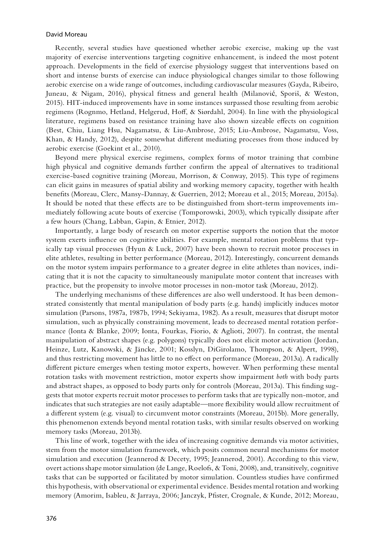Recently, several studies have questioned whether aerobic exercise, making up the vast majority of exercise interventions targeting cognitive enhancement, is indeed the most potent approach. Developments in the feld of exercise physiology suggest that interventions based on short and intense bursts of exercise can induce physiological changes similar to those following aerobic exercise on a wide range of outcomes, including cardiovascular measures (Gayda, Ribeiro, Juneau, & Nigam, 2016), physical fitness and general health (Milanović, Sporiš, & Weston, 2015). HIT-induced improvements have in some instances surpassed those resulting from aerobic regimens (Rognmo, Hetland, Helgerud, Hof, & Siørdahl, 2004). In line with the physiological literature, regimens based on resistance training have also shown sizeable efects on cognition (Best, Chiu, Liang Hsu, Nagamatsu, & Liu-Ambrose, 2015; Liu-Ambrose, Nagamatsu, Voss, Khan, & Handy, 2012), despite somewhat diferent mediating processes from those induced by aerobic exercise (Goekint et al., 2010).

Beyond mere physical exercise regimens, complex forms of motor training that combine high physical and cognitive demands further confrm the appeal of alternatives to traditional exercise-based cognitive training (Moreau, Morrison, & Conway, 2015). This type of regimens can elicit gains in measures of spatial ability and working memory capacity, together with health benefts (Moreau, Clerc, Mansy-Dannay, & Guerrien, 2012; Moreau et al., 2015; Moreau, 2015a). It should be noted that these efects are to be distinguished from short-term improvements immediately following acute bouts of exercise (Tomporowski, 2003), which typically dissipate after a few hours (Chang, Labban, Gapin, & Etnier, 2012).

Importantly, a large body of research on motor expertise supports the notion that the motor system exerts infuence on cognitive abilities. For example, mental rotation problems that typically tap visual processes (Hyun & Luck, 2007) have been shown to recruit motor processes in elite athletes, resulting in better performance (Moreau, 2012). Interestingly, concurrent demands on the motor system impairs performance to a greater degree in elite athletes than novices, indicating that it is not the capacity to simultaneously manipulate motor content that increases with practice, but the propensity to involve motor processes in non-motor task (Moreau, 2012).

The underlying mechanisms of these diferences are also well understood. It has been demonstrated consistently that mental manipulation of body parts (e.g. hands) implicitly induces motor simulation (Parsons, 1987a, 1987b, 1994; Sekiyama, 1982). As a result, measures that disrupt motor simulation, such as physically constraining movement, leads to decreased mental rotation performance (Ionta & Blanke, 2009; Ionta, Fourkas, Fiorio, & Aglioti, 2007). In contrast, the mental manipulation of abstract shapes (e.g. polygons) typically does not elicit motor activation (Jordan, Heinze, Lutz, Kanowski, & Jäncke, 2001; Kosslyn, DiGirolamo, Thompson, & Alpert, 1998), and thus restricting movement has little to no efect on performance (Moreau, 2013a). A radically diferent picture emerges when testing motor experts, however. When performing these mental rotation tasks with movement restriction, motor experts show impairment *both* with body parts and abstract shapes, as opposed to body parts only for controls (Moreau, 2013a). This fnding suggests that motor experts recruit motor processes to perform tasks that are typically non-motor, and indicates that such strategies are not easily adaptable—more fexibility would allow recruitment of a diferent system (e.g. visual) to circumvent motor constraints (Moreau, 2015b). More generally, this phenomenon extends beyond mental rotation tasks, with similar results observed on working memory tasks (Moreau, 2013b).

This line of work, together with the idea of increasing cognitive demands via motor activities, stem from the motor simulation framework, which posits common neural mechanisms for motor simulation and execution (Jeannerod & Decety, 1995; Jeannerod, 2001). According to this view, overt actions shape motor simulation (de Lange, Roelofs, & Toni, 2008), and, transitively, cognitive tasks that can be supported or facilitated by motor simulation. Countless studies have confrmed this hypothesis, with observational or experimental evidence. Besides mental rotation and working memory (Amorim, Isableu, & Jarraya, 2006; Janczyk, Pfster, Crognale, & Kunde, 2012; Moreau,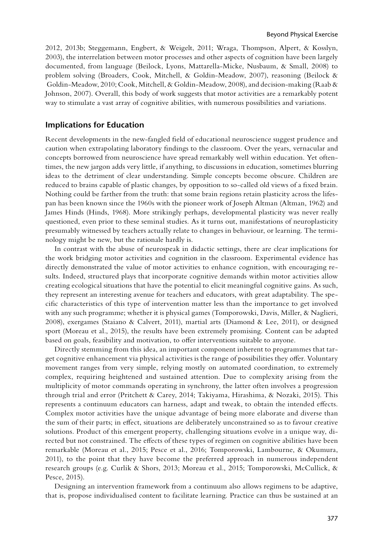2012, 2013b; Steggemann, Engbert, & Weigelt, 2011; Wraga, Thompson, Alpert, & Kosslyn, 2003), the interrelation between motor processes and other aspects of cognition have been largely documented, from language (Beilock, Lyons, Mattarella-Micke, Nusbaum, & Small, 2008) to problem solving (Broaders, Cook, Mitchell, & Goldin-Meadow, 2007), reasoning (Beilock & Goldin-Meadow, 2010; Cook, Mitchell, & Goldin-Meadow, 2008), and decision-making (Raab & Johnson, 2007). Overall, this body of work suggests that motor activities are a remarkably potent way to stimulate a vast array of cognitive abilities, with numerous possibilities and variations.

# **Implications for Education**

Recent developments in the new-fangled feld of educational neuroscience suggest prudence and caution when extrapolating laboratory fndings to the classroom. Over the years, vernacular and concepts borrowed from neuroscience have spread remarkably well within education. Yet oftentimes, the new jargon adds very little, if anything, to discussions in education, sometimes blurring ideas to the detriment of clear understanding. Simple concepts become obscure. Children are reduced to brains capable of plastic changes, by opposition to so-called old views of a fxed brain. Nothing could be farther from the truth: that some brain regions retain plasticity across the lifespan has been known since the 1960s with the pioneer work of Joseph Altman (Altman, 1962) and James Hinds (Hinds, 1968). More strikingly perhaps, developmental plasticity was never really questioned, even prior to these seminal studies. As it turns out, manifestations of neuroplasticity presumably witnessed by teachers actually relate to changes in behaviour, or learning. The terminology might be new, but the rationale hardly is.

In contrast with the abuse of neurospeak in didactic settings, there are clear implications for the work bridging motor activities and cognition in the classroom. Experimental evidence has directly demonstrated the value of motor activities to enhance cognition, with encouraging results. Indeed, structured plays that incorporate cognitive demands within motor activities allow creating ecological situations that have the potential to elicit meaningful cognitive gains. As such, they represent an interesting avenue for teachers and educators, with great adaptability. The specifc characteristics of this type of intervention matter less than the importance to get involved with any such programme; whether it is physical games (Tomporowski, Davis, Miller, & Naglieri, 2008), exergames (Staiano & Calvert, 2011), martial arts (Diamond & Lee, 2011), or designed sport (Moreau et al., 2015), the results have been extremely promising. Content can be adapted based on goals, feasibility and motivation, to ofer interventions suitable to anyone.

Directly stemming from this idea, an important component inherent to programmes that target cognitive enhancement via physical activities is the range of possibilities they ofer. Voluntary movement ranges from very simple, relying mostly on automated coordination, to extremely complex, requiring heightened and sustained attention. Due to complexity arising from the multiplicity of motor commands operating in synchrony, the latter often involves a progression through trial and error (Pritchett & Carey, 2014; Takiyama, Hirashima, & Nozaki, 2015). This represents a continuum educators can harness, adapt and tweak, to obtain the intended efects. Complex motor activities have the unique advantage of being more elaborate and diverse than the sum of their parts; in efect, situations are deliberately unconstrained so as to favour creative solutions. Product of this emergent property, challenging situations evolve in a unique way, directed but not constrained. The efects of these types of regimen on cognitive abilities have been remarkable (Moreau et al., 2015; Pesce et al., 2016; Tomporowski, Lambourne, & Okumura, 2011), to the point that they have become the preferred approach in numerous independent research groups (e.g. Curlik & Shors, 2013; Moreau et al., 2015; Tomporowski, McCullick, & Pesce, 2015).

Designing an intervention framework from a continuum also allows regimens to be adaptive, that is, propose individualised content to facilitate learning. Practice can thus be sustained at an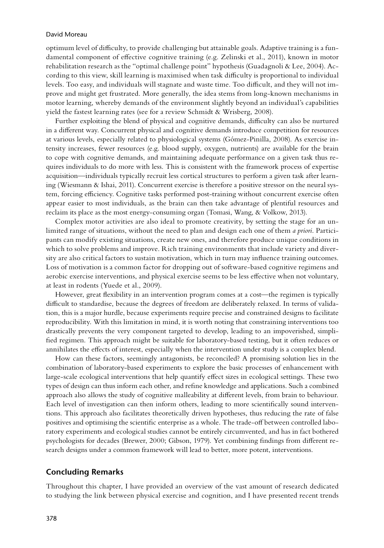optimum level of difculty, to provide challenging but attainable goals. Adaptive training is a fundamental component of efective cognitive training (e.g. Zelinski et al., 2011), known in motor rehabilitation research as the "optimal challenge point" hypothesis (Guadagnoli & Lee, 2004). According to this view, skill learning is maximised when task difficulty is proportional to individual levels. Too easy, and individuals will stagnate and waste time. Too difficult, and they will not improve and might get frustrated. More generally, the idea stems from long-known mechanisms in motor learning, whereby demands of the environment slightly beyond an individual's capabilities yield the fastest learning rates (see for a review Schmidt & Wrisberg, 2008).

Further exploiting the blend of physical and cognitive demands, difficulty can also be nurtured in a diferent way. Concurrent physical and cognitive demands introduce competition for resources at various levels, especially related to physiological systems (Gómez-Pinilla, 2008). As exercise intensity increases, fewer resources (e.g. blood supply, oxygen, nutrients) are available for the brain to cope with cognitive demands, and maintaining adequate performance on a given task thus requires individuals to do more with less. This is consistent with the framework process of expertise acquisition—individuals typically recruit less cortical structures to perform a given task after learning (Wiesmann & Ishai, 2011). Concurrent exercise is therefore a positive stressor on the neural system, forcing efficiency. Cognitive tasks performed post-training without concurrent exercise often appear easier to most individuals, as the brain can then take advantage of plentiful resources and reclaim its place as the most energy-consuming organ (Tomasi, Wang, & Volkow, 2013).

Complex motor activities are also ideal to promote creativity, by setting the stage for an unlimited range of situations, without the need to plan and design each one of them *a priori*. Participants can modify existing situations, create new ones, and therefore produce unique conditions in which to solve problems and improve. Rich training environments that include variety and diversity are also critical factors to sustain motivation, which in turn may infuence training outcomes. Loss of motivation is a common factor for dropping out of software-based cognitive regimens and aerobic exercise interventions, and physical exercise seems to be less efective when not voluntary, at least in rodents (Yuede et al., 2009).

However, great fexibility in an intervention program comes at a cost—the regimen is typically difcult to standardise, because the degrees of freedom are deliberately relaxed. In terms of validation, this is a major hurdle, because experiments require precise and constrained designs to facilitate reproducibility. With this limitation in mind, it is worth noting that constraining interventions too drastically prevents the very component targeted to develop, leading to an impoverished, simplifed regimen. This approach might be suitable for laboratory-based testing, but it often reduces or annihilates the efects of interest, especially when the intervention under study is a complex blend.

How can these factors, seemingly antagonists, be reconciled? A promising solution lies in the combination of laboratory-based experiments to explore the basic processes of enhancement with large-scale ecological interventions that help quantify efect sizes in ecological settings. These two types of design can thus inform each other, and refne knowledge and applications. Such a combined approach also allows the study of cognitive malleability at diferent levels, from brain to behaviour. Each level of investigation can then inform others, leading to more scientifcally sound interventions. This approach also facilitates theoretically driven hypotheses, thus reducing the rate of false positives and optimising the scientific enterprise as a whole. The trade-off between controlled laboratory experiments and ecological studies cannot be entirely circumvented, and has in fact bothered psychologists for decades (Brewer, 2000; Gibson, 1979). Yet combining fndings from diferent research designs under a common framework will lead to better, more potent, interventions.

# **Concluding Remarks**

Throughout this chapter, I have provided an overview of the vast amount of research dedicated to studying the link between physical exercise and cognition, and I have presented recent trends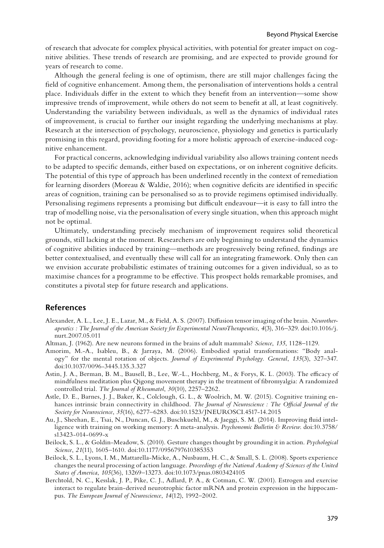of research that advocate for complex physical activities, with potential for greater impact on cognitive abilities. These trends of research are promising, and are expected to provide ground for years of research to come.

Although the general feeling is one of optimism, there are still major challenges facing the feld of cognitive enhancement. Among them, the personalisation of interventions holds a central place. Individuals difer in the extent to which they beneft from an intervention—some show impressive trends of improvement, while others do not seem to beneft at all, at least cognitively. Understanding the variability between individuals, as well as the dynamics of individual rates of improvement, is crucial to further our insight regarding the underlying mechanisms at play. Research at the intersection of psychology, neuroscience, physiology and genetics is particularly promising in this regard, providing footing for a more holistic approach of exercise-induced cognitive enhancement.

For practical concerns, acknowledging individual variability also allows training content needs to be adapted to specifc demands, either based on expectations, or on inherent cognitive defcits. The potential of this type of approach has been underlined recently in the context of remediation for learning disorders (Moreau & Waldie, 2016); when cognitive defcits are identifed in specifc areas of cognition, training can be personalised so as to provide regimens optimised individually. Personalising regimens represents a promising but difficult endeavour—it is easy to fall intro the trap of modelling noise, via the personalisation of every single situation, when this approach might not be optimal.

Ultimately, understanding precisely mechanism of improvement requires solid theoretical grounds, still lacking at the moment. Researchers are only beginning to understand the dynamics of cognitive abilities induced by training—methods are progressively being refned, fndings are better contextualised, and eventually these will call for an integrating framework. Only then can we envision accurate probabilistic estimates of training outcomes for a given individual, so as to maximise chances for a programme to be efective. This prospect holds remarkable promises, and constitutes a pivotal step for future research and applications.

# **References**

- Alexander, A. L., Lee, J. E., Lazar, M., & Field, A. S. (2007). Difusion tensor imaging of the brain. *Neurotherapeutics : The Journal of the American Society for Experimental NeuroTherapeutics*, *4*(3), 316–329. doi:10.1016/j. nurt.2007.05.011
- Altman, J. (1962). Are new neurons formed in the brains of adult mammals? *Science*, *135*, 1128–1129.
- Amorim, M.-A., Isableu, B., & Jarraya, M. (2006). Embodied spatial transformations: "Body analogy" for the mental rotation of objects. *Journal of Experimental Psychology. General*, *135*(3), 327–347. doi:10.1037/0096-3445.135.3.327
- Astin, J. A., Berman, B. M., Bausell, B., Lee, W.-L., Hochberg, M., & Forys, K. L. (2003). The efficacy of mindfulness meditation plus Qigong movement therapy in the treatment of fbromyalgia: A randomized controlled trial. *The Journal of Rheumatol*, *30*(10), 2257–2262.
- Astle, D. E., Barnes, J. J., Baker, K., Colclough, G. L., & Woolrich, M. W. (2015). Cognitive training enhances intrinsic brain connectivity in childhood. *The Journal of Neuroscience : The Ofcial Journal of the Society for Neuroscience*, *35*(16), 6277–6283. doi:10.1523/JNEUROSCI.4517-14.2015
- Au, J., Sheehan, E., Tsai, N., Duncan, G. J., Buschkuehl, M., & Jaeggi, S. M. (2014). Improving fuid intelligence with training on working memory: A meta-analysis. *Psychonomic Bulletin & Review*. doi:10.3758/ s13423-014-0699-x
- Beilock, S. L., & Goldin-Meadow, S. (2010). Gesture changes thought by grounding it in action. *Psychological Science*, *21*(11), 1605–1610. doi:10.1177/0956797610385353
- Beilock, S. L., Lyons, I. M., Mattarella-Micke, A., Nusbaum, H. C., & Small, S. L. (2008). Sports experience changes the neural processing of action language. *Proceedings of the National Academy of Sciences of the United States of America*, *105*(36), 13269–13273. doi:10.1073/pnas.0803424105
- Berchtold, N. C., Kesslak, J. P., Pike, C. J., Adlard, P. A., & Cotman, C. W. (2001). Estrogen and exercise interact to regulate brain-derived neurotrophic factor mRNA and protein expression in the hippocampus. *The European Journal of Neuroscience*, *14*(12), 1992–2002.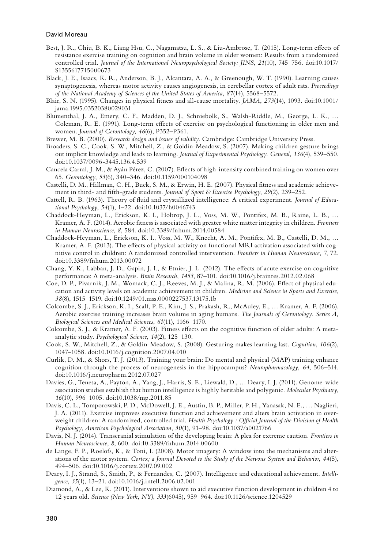- Best, J. R., Chiu, B. K., Liang Hsu, C., Nagamatsu, L. S., & Liu-Ambrose, T. (2015). Long-term efects of resistance exercise training on cognition and brain volume in older women: Results from a randomized controlled trial. *Journal of the International Neuropsychological Society: JINS*, *21*(10), 745–756. doi:10.1017/ S1355617715000673
- Black, J. E., Isaacs, K. R., Anderson, B. J., Alcantara, A. A., & Greenough, W. T. (1990). Learning causes synaptogenesis, whereas motor activity causes angiogenesis, in cerebellar cortex of adult rats. *Proceedings of the National Academy of Sciences of the United States of America*, *87*(14), 5568–5572.
- Blair, S. N. (1995). Changes in physical ftness and all-cause mortality. *JAMA*, *273*(14), 1093. doi:10.1001/ jama.1995.03520380029031
- Blumenthal, J. A., Emery, C. F., Madden, D. J., Schniebolk, S., Walsh-Riddle, M., George, L. K., … Coleman, R. E. (1991). Long-term efects of exercise on psychological functioning in older men and women. *Journal of Gerontology*, *46*(6), P352–P361.
- Brewer, M. B. (2000). *Research design and issues of validity.* Cambridge: Cambridge University Press.
- Broaders, S. C., Cook, S. W., Mitchell, Z., & Goldin-Meadow, S. (2007). Making children gesture brings out implicit knowledge and leads to learning. *Journal of Experimental Psychology. General*, *136*(4), 539–550. doi:10.1037/0096-3445.136.4.539
- Cancela Carral, J. M., & Ayán Pérez, C. (2007). Efects of high-intensity combined training on women over 65. *Gerontology*, *53*(6), 340–346. doi:10.1159/000104098
- Castelli, D. M., Hillman, C. H., Buck, S. M., & Erwin, H. E. (2007). Physical ftness and academic achievement in third- and ffth-grade students. *Journal of Sport & Exercise Psychology*, *29*(2), 239–252.
- Cattell, R. B. (1963). Theory of fuid and crystallized intelligence: A critical experiment. *Journal of Educational Psychology*, *54*(1), 1–22. doi:10.1037/h0046743
- Chaddock-Heyman, L., Erickson, K. I., Holtrop, J. L., Voss, M. W., Pontifex, M. B., Raine, L. B., … Kramer, A. F. (2014). Aerobic ftness is associated with greater white matter integrity in children. *Frontiers in Human Neuroscience*, *8*, 584. doi:10.3389/fnhum.2014.00584
- Chaddock-Heyman, L., Erickson, K. I., Voss, M. W., Knecht, A. M., Pontifex, M. B., Castelli, D. M., … Kramer, A. F. (2013). The efects of physical activity on functional MRI activation associated with cognitive control in children: A randomized controlled intervention. *Frontiers in Human Neuroscience*, *7*, 72. doi:10.3389/fnhum.2013.00072
- Chang, Y. K., Labban, J. D., Gapin, J. I., & Etnier, J. L. (2012). The efects of acute exercise on cognitive performance: A meta-analysis. *Brain Research*, *1453*, 87–101. doi:10.1016/j.brainres.2012.02.068
- Coe, D. P., Pivarnik, J. M., Womack, C. J., Reeves, M. J., & Malina, R. M. (2006). Efect of physical education and activity levels on academic achievement in children. *Medicine and Science in Sports and Exercise*, *38*(8), 1515–1519. doi:10.1249/01.mss.0000227537.13175.1b
- Colcombe, S. J., Erickson, K. I., Scalf, P. E., Kim, J. S., Prakash, R., McAuley, E., … Kramer, A. F. (2006). Aerobic exercise training increases brain volume in aging humans. *The Journals of Gerontology. Series A, Biological Sciences and Medical Sciences*, *61*(11), 1166–1170.
- Colcombe, S. J., & Kramer, A. F. (2003). Fitness efects on the cognitive function of older adults: A metaanalytic study. *Psychological Science*, *14*(2), 125–130.
- Cook, S. W., Mitchell, Z., & Goldin-Meadow, S. (2008). Gesturing makes learning last. *Cognition*, *106*(2), 1047–1058. doi:10.1016/j.cognition.2007.04.010
- Curlik, D. M., & Shors, T. J. (2013). Training your brain: Do mental and physical (MAP) training enhance cognition through the process of neurogenesis in the hippocampus? *Neuropharmacology*, *64*, 506–514. doi:10.1016/j.neuropharm.2012.07.027
- Davies, G., Tenesa, A., Payton, A., Yang, J., Harris, S. E., Liewald, D., … Deary, I. J. (2011). Genome-wide association studies establish that human intelligence is highly heritable and polygenic. *Molecular Psychiatry*, *16*(10), 996–1005. doi:10.1038/mp.2011.85
- Davis, C. L., Tomporowski, P. D., McDowell, J. E., Austin, B. P., Miller, P. H., Yanasak, N. E., … Naglieri, J. A. (2011). Exercise improves executive function and achievement and alters brain activation in overweight children: A randomized, controlled trial. *Health Psychology : Ofcial Journal of the Division of Health Psychology, American Psychological Association*, *30*(1), 91–98. doi:10.1037/a0021766
- Davis, N. J. (2014). Transcranial stimulation of the developing brain: A plea for extreme caution. *Frontiers in Human Neuroscience*, *8*, 600. doi:10.3389/fnhum.2014.00600
- de Lange, F. P., Roelofs, K., & Toni, I. (2008). Motor imagery: A window into the mechanisms and alterations of the motor system. *Cortex; a Journal Devoted to the Study of the Nervous System and Behavior*, *44*(5), 494–506. doi:10.1016/j.cortex.2007.09.002
- Deary, I. J., Strand, S., Smith, P., & Fernandes, C. (2007). Intelligence and educational achievement. *Intelligence*, *35*(1), 13–21. doi:10.1016/j.intell.2006.02.001
- Diamond, A., & Lee, K. (2011). Interventions shown to aid executive function development in children 4 to 12 years old. *Science (New York, NY)*, *333*(6045), 959–964. doi:10.1126/science.1204529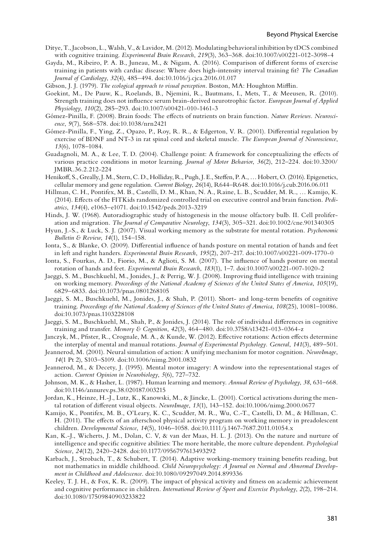- Ditye, T., Jacobson, L., Walsh, V., & Lavidor, M. (2012). Modulating behavioral inhibition by tDCS combined with cognitive training. *Experimental Brain Research*, *219*(3), 363–368. doi:10.1007/s00221-012-3098-4
- Gayda, M., Ribeiro, P. A. B., Juneau, M., & Nigam, A. (2016). Comparison of diferent forms of exercise training in patients with cardiac disease: Where does high-intensity interval training ft? *The Canadian Journal of Cardiology*, *32*(4), 485–494. doi:10.1016/j.cjca.2016.01.017
- Gibson, J. J. (1979). *The ecological approach to visual perception*. Boston, MA: Houghton Mifin.
- Goekint, M., De Pauw, K., Roelands, B., Njemini, R., Bautmans, I., Mets, T., & Meeusen, R. (2010). Strength training does not infuence serum brain-derived neurotrophic factor. *European Journal of Applied Physiology*, *110*(2), 285–293. doi:10.1007/s00421-010-1461-3
- Gómez-Pinilla, F. (2008). Brain foods: The efects of nutrients on brain function. *Nature Reviews. Neuroscience*, *9*(7), 568–578. doi:10.1038/nrn2421
- Gómez-Pinilla, F., Ying, Z., Opazo, P., Roy, R. R., & Edgerton, V. R. (2001). Diferential regulation by exercise of BDNF and NT-3 in rat spinal cord and skeletal muscle. *The European Journal of Neuroscience*, *13*(6), 1078–1084.
- Guadagnoli, M. A., & Lee, T. D. (2004). Challenge point: A framework for conceptualizing the efects of various practice conditions in motor learning. *Journal of Motor Behavior*, *36*(2), 212–224. doi:10.3200/ JMBR.36.2.212-224
- Henikof, S., Greally, J. M., Stern, C. D., Holliday, R., Pugh, J. E., Stefen, P. A., … Hobert, O. (2016). Epigenetics, cellular memory and gene regulation. *Current Biology*, *26*(14), R644–R648. doi:10.1016/j.cub.2016.06.011
- Hillman, C. H., Pontifex, M. B., Castelli, D. M., Khan, N. A., Raine, L. B., Scudder, M. R., … Kamijo, K. (2014). Efects of the FITKids randomized controlled trial on executive control and brain function. *Pediatrics*, *134*(4), e1063–e1071. doi:10.1542/peds.2013-3219
- Hinds, J. W. (1968). Autoradiographic study of histogenesis in the mouse olfactory bulb. II. Cell proliferation and migration. *The Journal of Comparative Neurology*, *134*(3), 305–321. doi:10.1002/cne.901340305
- Hyun, J.-S., & Luck, S. J. (2007). Visual working memory as the substrate for mental rotation. *Psychonomic Bulletin & Review*, *14*(1), 154–158.
- Ionta, S., & Blanke, O. (2009). Diferential infuence of hands posture on mental rotation of hands and feet in left and right handers. *Experimental Brain Research*, *195*(2), 207–217. doi:10.1007/s00221-009-1770-0
- Ionta, S., Fourkas, A. D., Fiorio, M., & Aglioti, S. M. (2007). The infuence of hands posture on mental rotation of hands and feet. *Experimental Brain Research*, *183*(1), 1–7. doi:10.1007/s00221-007-1020-2
- Jaeggi, S. M., Buschkuehl, M., Jonides, J., & Perrig, W. J. (2008). Improving fuid intelligence with training on working memory. *Proceedings of the National Academy of Sciences of the United States of America*, *105*(19), 6829–6833. doi:10.1073/pnas.0801268105
- Jaeggi, S. M., Buschkuehl, M., Jonides, J., & Shah, P. (2011). Short- and long-term benefts of cognitive training. *Proceedings of the National Academy of Sciences of the United States of America*, *108*(25), 10081–10086. doi:10.1073/pnas.1103228108
- Jaeggi, S. M., Buschkuehl, M., Shah, P., & Jonides, J. (2014). The role of individual diferences in cognitive training and transfer. *Memory & Cognition*, *42*(3), 464–480. doi:10.3758/s13421-013-0364-z
- Janczyk, M., Pfster, R., Crognale, M. A., & Kunde, W. (2012). Efective rotations: Action efects determine the interplay of mental and manual rotations. *Journal of Experimental Psychology. General*, *141*(3), 489–501.
- Jeannerod, M. (2001). Neural simulation of action: A unifying mechanism for motor cognition. *NeuroImage*, *14*(1 Pt 2), S103–S109. doi:10.1006/nimg.2001.0832
- Jeannerod, M., & Decety, J. (1995). Mental motor imagery: A window into the representational stages of action. *Current Opinion in Neurobiology*, *5*(6), 727–732.
- Johnson, M. K., & Hasher, L. (1987). Human learning and memory. *Annual Review of Psychology*, *38*, 631–668. doi:10.1146/annurev.ps.38.020187.003215
- Jordan, K., Heinze, H.-J., Lutz, K., Kanowski, M., & Jäncke, L. (2001). Cortical activations during the mental rotation of diferent visual objects. *NeuroImage*, *13*(1), 143–152. doi:10.1006/nimg.2000.0677
- Kamijo, K., Pontifex, M. B., O'Leary, K. C., Scudder, M. R., Wu, C.-T., Castelli, D. M., & Hillman, C. H. (2011). The efects of an afterschool physical activity program on working memory in preadolescent children. *Developmental Science*, *14*(5), 1046–1058. doi:10.1111/j.1467-7687.2011.01054.x
- Kan, K.-J., Wicherts, J. M., Dolan, C. V, & van der Maas, H. L. J. (2013). On the nature and nurture of intelligence and specifc cognitive abilities: The more heritable, the more culture dependent. *Psychological Science*, *24*(12), 2420–2428. doi:10.1177/0956797613493292
- Karbach, J., Strobach, T., & Schubert, T. (2014). Adaptive working-memory training benefts reading, but not mathematics in middle childhood. *Child Neuropsychology: A Journal on Normal and Abnormal Development in Childhood and Adolescence*. doi:10.1080/09297049.2014.899336
- Keeley, T. J. H., & Fox, K. R. (2009). The impact of physical activity and ftness on academic achievement and cognitive performance in children. *International Review of Sport and Exercise Psychology*, *2*(2), 198–214. doi:10.1080/17509840903233822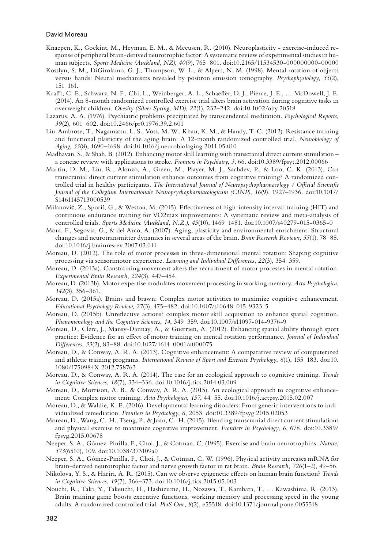- Knaepen, K., Goekint, M., Heyman, E. M., & Meeusen, R. (2010). Neuroplasticity exercise-induced response of peripheral brain-derived neurotrophic factor: A systematic review of experimental studies in human subjects. *Sports Medicine (Auckland, NZ)*, *40*(9), 765–801. doi:10.2165/11534530-000000000-00000
- Kosslyn, S. M., DiGirolamo, G. J., Thompson, W. L., & Alpert, N. M. (1998). Mental rotation of objects versus hands: Neural mechanisms revealed by positron emission tomography. *Psychophysiology*, *35*(2), 151–161.
- Kraft, C. E., Schwarz, N. F., Chi, L., Weinberger, A. L., Schaefer, D. J., Pierce, J. E., … McDowell, J. E. (2014). An 8-month randomized controlled exercise trial alters brain activation during cognitive tasks in overweight children. *Obesity (Silver Spring, MD)*, *22*(1), 232–242. doi:10.1002/oby.20518
- Lazarus, A. A. (1976). Psychiatric problems precipitated by transcendental meditation. *Psychological Reports*, *39*(2), 601–602. doi:10.2466/pr0.1976.39.2.601
- Liu-Ambrose, T., Nagamatsu, L. S., Voss, M. W., Khan, K. M., & Handy, T. C. (2012). Resistance training and functional plasticity of the aging brain: A 12-month randomized controlled trial. *Neurobiology of Aging*, *33*(8), 1690–1698. doi:10.1016/j.neurobiolaging.2011.05.010
- Madhavan, S., & Shah, B. (2012). Enhancing motor skill learning with transcranial direct current stimulation a concise review with applications to stroke. *Frontiers in Psychiatry*, *3*, 66. doi:10.3389/fpsyt.2012.00066
- Martin, D. M., Liu, R., Alonzo, A., Green, M., Player, M. J., Sachdev, P., & Loo, C. K. (2013). Can transcranial direct current stimulation enhance outcomes from cognitive training? A randomized controlled trial in healthy participants. *The International Journal of Neuropsychopharmacology / Ofcial Scientifc Journal of the Collegium Internationale Neuropsychopharmacologicum (CINP)*, *16*(9), 1927–1936. doi:10.1017/ S1461145713000539
- Milanović, Z., Sporiš, G., & Weston, M. (2015). Effectiveness of high-intensity interval training (HIT) and continuous endurance training for VO2max improvements: A systematic review and meta-analysis of controlled trials. *Sports Medicine (Auckland, N.Z.)*, *45*(10), 1469–1481. doi:10.1007/s40279-015-0365-0
- Mora, F., Segovia, G., & del Arco, A. (2007). Aging, plasticity and environmental enrichment: Structural changes and neurotransmitter dynamics in several areas of the brain. *Brain Research Reviews*, *55*(1), 78–88. doi:10.1016/j.brainresrev.2007.03.011
- Moreau, D. (2012). The role of motor processes in three-dimensional mental rotation: Shaping cognitive processing via sensorimotor experience. *Learning and Individual Diferences*, *22*(3), 354–359.
- Moreau, D. (2013a). Constraining movement alters the recruitment of motor processes in mental rotation. *Experimental Brain Research*, *224*(3), 447–454.
- Moreau, D. (2013b). Motor expertise modulates movement processing in working memory. *Acta Psychologica*, *142*(3), 356–361.
- Moreau, D. (2015a). Brains and brawn: Complex motor activities to maximize cognitive enhancement. *Educational Psychology Review*, *27*(3), 475–482. doi:10.1007/s10648-015-9323-5
- Moreau, D. (2015b). Unrefective actions? complex motor skill acquisition to enhance spatial cognition. *Phenomenology and the Cognitive Sciences*, *14*, 349–359. doi:10.1007/s11097-014-9376-9
- Moreau, D., Clerc, J., Mansy-Dannay, A., & Guerrien, A. (2012). Enhancing spatial ability through sport practice: Evidence for an efect of motor training on mental rotation performance. *Journal of Individual Diferences*, *33*(2), 83–88. doi:10.1027/1614-0001/a000075
- Moreau, D., & Conway, A. R. A. (2013). Cognitive enhancement: A comparative review of computerized and athletic training programs. *International Review of Sport and Exercise Psychology*, *6*(1), 155–183. doi:10. 1080/1750984X.2012.758763
- Moreau, D., & Conway, A. R. A. (2014). The case for an ecological approach to cognitive training. *Trends in Cognitive Sciences*, *18*(7), 334–336. doi:10.1016/j.tics.2014.03.009
- Moreau, D., Morrison, A. B., & Conway, A. R. A. (2015). An ecological approach to cognitive enhancement: Complex motor training. *Acta Psychologica*, *157*, 44–55. doi:10.1016/j.actpsy.2015.02.007
- Moreau, D., & Waldie, K. E. (2016). Developmental learning disorders: From generic interventions to individualized remediation. *Frontiers in Psychology*, *6*, 2053. doi:10.3389/fpsyg.2015.02053
- Moreau, D., Wang, C.-H., Tseng, P., & Juan, C.-H. (2015). Blending transcranial direct current stimulations and physical exercise to maximize cognitive improvement. *Frontiers in Psychology*, *6*, 678. doi:10.3389/ fpsyg.2015.00678
- Neeper, S. A., Gómez-Pinilla, F., Choi, J., & Cotman, C. (1995). Exercise and brain neurotrophins. *Nature*, *373*(6510), 109. doi:10.1038/373109a0
- Neeper, S. A., Gómez-Pinilla, F., Choi, J., & Cotman, C. W. (1996). Physical activity increases mRNA for brain-derived neurotrophic factor and nerve growth factor in rat brain. *Brain Research*, *726*(1–2), 49–56.
- Nikolova, Y. S., & Hariri, A. R. (2015). Can we observe epigenetic efects on human brain function? *Trends in Cognitive Sciences*, *19*(7), 366–373. doi:10.1016/j.tics.2015.05.003
- Nouchi, R., Taki, Y., Takeuchi, H., Hashizume, H., Nozawa, T., Kambara, T., … Kawashima, R. (2013). Brain training game boosts executive functions, working memory and processing speed in the young adults: A randomized controlled trial. *PloS One*, *8*(2), e55518. doi:10.1371/journal.pone.0055518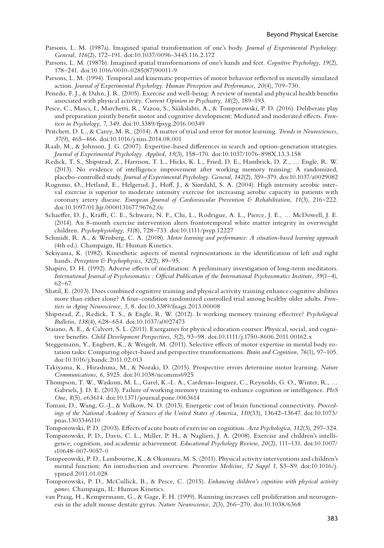- Parsons, L. M. (1987a). Imagined spatial transformation of one's body. *Journal of Experimental Psychology. General*, *116*(2), 172–191. doi:10.1037/0096-3445.116.2.172
- Parsons, L. M. (1987b). Imagined spatial transformations of one's hands and feet. *Cognitive Psychology*, *19*(2), 178–241. doi:10.1016/0010-0285(87)90011-9
- Parsons, L. M. (1994). Temporal and kinematic properties of motor behavior refected in mentally simulated action. *Journal of Experimental Psychology. Human Perception and Performance*, *20*(4), 709–730.
- Penedo, F. J., & Dahn, J. R. (2005). Exercise and well-being: A review of mental and physical health benefts associated with physical activity. *Current Opinion in Psychiatry*, *18*(2), 189–193.
- Pesce, C., Masci, I., Marchetti, R., Vazou, S., Sääkslahti, A., & Tomporowski, P. D. (2016). Deliberate play and preparation jointly beneft motor and cognitive development: Mediated and moderated efects. *Frontiers in Psychology*, *7*, 349. doi:10.3389/fpsyg.2016.00349
- Pritchett, D. L., & Carey, M. R. (2014). A matter of trial and error for motor learning. *Trends in Neurosciences*, *37*(9), 465–466. doi:10.1016/j.tins.2014.08.001
- Raab, M., & Johnson, J. G. (2007). Expertise-based diferences in search and option-generation strategies. *Journal of Experimental Psychology. Applied*, *13*(3), 158–170. doi:10.1037/1076-898X.13.3.158
- Redick, T. S., Shipstead, Z., Harrison, T. L., Hicks, K. L., Fried, D. E., Hambrick, D. Z., … Engle, R. W. (2013). No evidence of intelligence improvement after working memory training: A randomized, placebo-controlled study. *Journal of Experimental Psychology. General*, *142*(2), 359–379. doi:10.1037/a0029082
- Rognmo, Ø., Hetland, E., Helgerud, J., Hof, J., & Siørdahl, S. A. (2004). High intensity aerobic interval exercise is superior to moderate intensity exercise for increasing aerobic capacity in patients with coronary artery disease. *European Journal of Cardiovascular Prevention & Rehabilitation*, *11*(3), 216–222. doi:10.1097/01.hjr.0000131677.96762.0c
- Schaefer, D. J., Kraft, C. E., Schwarz, N. F., Chi, L., Rodrigue, A. L., Pierce, J. E., … McDowell, J. E. (2014). An 8-month exercise intervention alters frontotemporal white matter integrity in overweight children. *Psychophysiology*, *51*(8), 728–733. doi:10.1111/psyp.12227
- Schmidt, R. A., & Wrisberg, C. A. (2008). *Motor learning and performance: A situation-based learning approach* (4th ed.). Champaign, IL: Human Kinetics.
- Sekiyama, K. (1982). Kinesthetic aspects of mental representations in the identifcation of left and right hands. *Perception & Psychophysics*, *32*(2), 89–95.
- Shapiro, D. H. (1992). Adverse efects of meditation: A preliminary investigation of long-term meditators. *International Journal of Psychosomatics : Ofcial Publication of the International Psychosomatics Institute*, *39*(1–4), 62–67.
- Shatil, E. (2013). Does combined cognitive training and physical activity training enhance cognitive abilities more than either alone? A four-condition randomized controlled trial among healthy older adults. *Frontiers in Aging Neuroscience*, *5*, 8. doi:10.3389/fnagi.2013.00008
- Shipstead, Z., Redick, T. S., & Engle, R. W. (2012). Is working memory training efective? *Psychological Bulletin*, *138*(4), 628–654. doi:10.1037/a0027473
- Staiano, A. E., & Calvert, S. L. (2011). Exergames for physical education courses: Physical, social, and cognitive benefts. *Child Development Perspectives*, *5*(2), 93–98. doi:10.1111/j.1750-8606.2011.00162.x
- Steggemann, Y., Engbert, K., & Weigelt, M. (2011). Selective efects of motor expertise in mental body rotation tasks: Comparing object-based and perspective transformations. *Brain and Cognition*, *76*(1), 97–105. doi:10.1016/j.bandc.2011.02.013
- Takiyama, K., Hirashima, M., & Nozaki, D. (2015). Prospective errors determine motor learning. *Nature Communications*, *6*, 5925. doi:10.1038/ncomms6925
- Thompson, T. W., Waskom, M. L., Garel, K.-L. A., Cardenas-Iniguez, C., Reynolds, G. O., Winter, R., … Gabrieli, J. D. E. (2013). Failure of working memory training to enhance cognition or intelligence. *PloS One*, *8*(5), e63614. doi:10.1371/journal.pone.0063614
- Tomasi, D., Wang, G.-J., & Volkow, N. D. (2013). Energetic cost of brain functional connectivity. *Proceedings of the National Academy of Sciences of the United States of America*, *110*(33), 13642–13647. doi:10.1073/ pnas.1303346110
- Tomporowski, P. D. (2003). Efects of acute bouts of exercise on cognition. *Acta Psychologica*, *112*(3), 297–324.
- Tomporowski, P. D., Davis, C. L., Miller, P. H., & Naglieri, J. A. (2008). Exercise and children's intelligence, cognition, and academic achievement. *Educational Psychology Review*, *20*(2), 111–131. doi:10.1007/ s10648-007-9057-0
- Tomporowski, P. D., Lambourne, K., & Okumura, M. S. (2011). Physical activity interventions and children's mental function: An introduction and overview. *Preventive Medicine*, *52 Suppl 1*, S3–S9. doi:10.1016/j. ypmed.2011.01.028
- Tomporowski, P. D., McCullick, B., & Pesce, C. (2015). *Enhancing children's cognition with physical activity games*. Champaign, IL: Human Kinetics.
- van Praag, H., Kempermann, G., & Gage, F. H. (1999). Running increases cell proliferation and neurogenesis in the adult mouse dentate gyrus. *Nature Neuroscience*, *2*(3), 266–270. doi:10.1038/6368